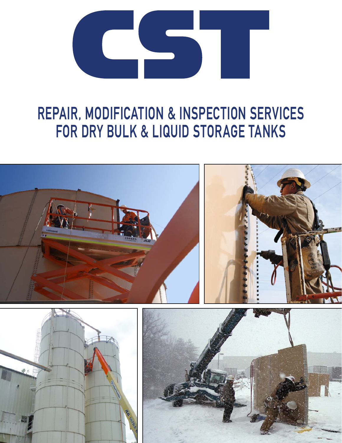

# REPAIR, MODIFICATION & INSPECTION SERVICES FOR DRY BULK & LIQUID STORAGE TANKS

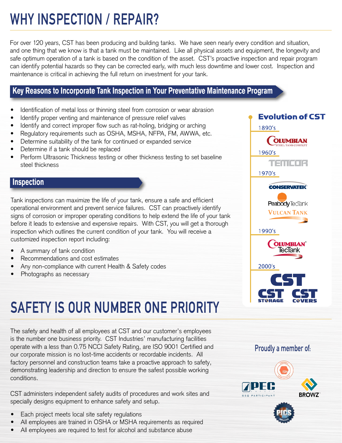# WHY INSPECTION / REPAIR?

For over 120 years, CST has been producing and building tanks. We have seen nearly every condition and situation, and one thing that we know is that a tank must be maintained. Like all physical assets and equipment, the longevity and safe optimum operation of a tank is based on the condition of the asset. CST's proactive inspection and repair program can identify potential hazards so they can be corrected early, with much less downtime and lower cost. Inspection and maintenance is critical in achieving the full return on investment for your tank.

### **Key Reasons to Incorporate Tank Inspection in Your Preventative Maintenance Program**

- Identification of metal loss or thinning steel from corrosion or wear abrasion
- Identify proper venting and maintenance of pressure relief valves
- Identify and correct improper flow such as rat-holing, bridging or arching
- Regulatory requirements such as OSHA, MSHA, NFPA, FM, AWWA, etc.
- Determine suitability of the tank for continued or expanded service
- Determine if a tank should be replaced
- Perform Ultrasonic Thickness testing or other thickness testing to set baseline steel thickness

#### **Inspection**

Tank inspections can maximize the life of your tank, ensure a safe and efficient operational environment and prevent service failures. CST can proactively identify signs of corrosion or improper operating conditions to help extend the life of your tank before it leads to extensive and expensive repairs. With CST, you will get a thorough inspection which outlines the current condition of your tank. You will receive a customized inspection report including:

- A summary of tank condition
- Recommendations and cost estimates
- Any non-compliance with current Health & Safety codes
- Photographs as necessary

# SAFETY IS OUR NUMBER ONE PRIORITY

The safety and health of all employees at CST and our customer's employees is the number one business priority. CST Industries' manufacturing facilities operate with a less than 0.75 NCCI Safety Rating, are ISO 9001 Certified and our corporate mission is no lost-time accidents or recordable incidents. All factory personnel and construction teams take a proactive approach to safety, demonstrating leadership and direction to ensure the safest possible working conditions.

CST administers independent safety audits of procedures and work sites and specially designs equipment to enhance safety and setup.

- Each project meets local site safety regulations
- All employees are trained in OSHA or MSHA requirements as required
- All employees are required to test for alcohol and substance abuse



#### Proudly a member of:



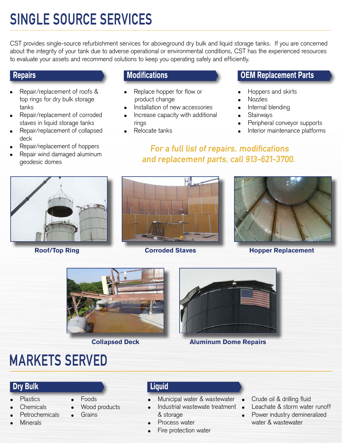# SINGLE SOURCE SERVICES

CST provides single-source refurbishment services for aboveground dry bulk and liquid storage tanks. If you are concerned about the integrity of your tank due to adverse operational or environmental conditions, CST has the experienced resources to evaluate your assets and recommend solutions to keep you operating safely and efficiently.

### **Repairs**

- Repair/replacement of roofs & top rings for dry bulk storage tanks
- Repair/replacement of corroded staves in liquid storage tanks
- Repair/replacement of collapsed deck
- Repair/replacement of hoppers
- Repair wind damaged aluminum geodesic domes

### **Modifications**

- Replace hopper for flow or product change
- Installation of new accessories
- Increase capacity with additional rings
- Relocate tanks

### **OEM Replacement Parts**

- Hoppers and skirts
- **Nozzles**
- Internal blending
- **Stairways**
- Peripheral conveyor supports
- Interior maintenance platforms
- For a full list of repairs, modifications and replacement parts, call 913-621-3700.









#### **Roof/Top Ring Corroded Staves Hopper Replacement**





**Collapsed Deck Aluminum Dome Repairs**

## MARKETS SERVED

### **Dry Bulk Liquid**

- **Plastics**
- **Chemicals**
- **Petrochemicals**
- **Minerals**
- **Foods** 
	- Wood products
		- **Grains**
- & storage Process water
- Fire protection water

Municipal water & wastewater Industrial wastewate treatment

- Crude oil & drilling fluid
- Leachate & storm water runoff
- Power industry demineralized water & wastewater